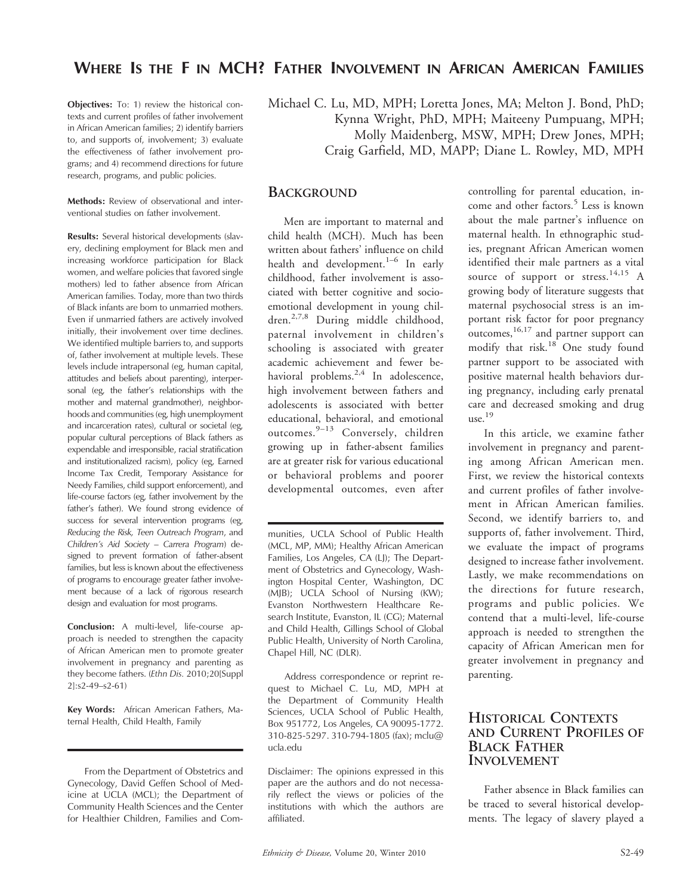# WHERE IS THE F IN MCH? FATHER INVOLVEMENT IN AFRICAN AMERICAN FAMILIES

Objectives: To: 1) review the historical contexts and current profiles of father involvement in African American families; 2) identify barriers to, and supports of, involvement; 3) evaluate the effectiveness of father involvement programs; and 4) recommend directions for future research, programs, and public policies.

Methods: Review of observational and interventional studies on father involvement.

Results: Several historical developments (slavery, declining employment for Black men and increasing workforce participation for Black women, and welfare policies that favored single mothers) led to father absence from African American families. Today, more than two thirds of Black infants are born to unmarried mothers. Even if unmarried fathers are actively involved initially, their involvement over time declines. We identified multiple barriers to, and supports of, father involvement at multiple levels. These levels include intrapersonal (eg, human capital, attitudes and beliefs about parenting), interpersonal (eg, the father's relationships with the mother and maternal grandmother), neighborhoods and communities (eg, high unemployment and incarceration rates), cultural or societal (eg, popular cultural perceptions of Black fathers as expendable and irresponsible, racial stratification and institutionalized racism), policy (eg, Earned Income Tax Credit, Temporary Assistance for Needy Families, child support enforcement), and life-course factors (eg, father involvement by the father's father). We found strong evidence of success for several intervention programs (eg, Reducing the Risk, Teen Outreach Program, and Children's Aid Society – Carrera Program) designed to prevent formation of father-absent families, but less is known about the effectiveness of programs to encourage greater father involvement because of a lack of rigorous research design and evaluation for most programs.

Conclusion: A multi-level, life-course approach is needed to strengthen the capacity of African American men to promote greater involvement in pregnancy and parenting as they become fathers. (Ethn Dis. 2010;20[Suppl 2]:s2-49–s2-61)

Key Words: African American Fathers, Maternal Health, Child Health, Family

From the Department of Obstetrics and Gynecology, David Geffen School of Medicine at UCLA (MCL); the Department of Community Health Sciences and the Center for Healthier Children, Families and ComMichael C. Lu, MD, MPH; Loretta Jones, MA; Melton J. Bond, PhD; Kynna Wright, PhD, MPH; Maiteeny Pumpuang, MPH; Molly Maidenberg, MSW, MPH; Drew Jones, MPH; Craig Garfield, MD, MAPP; Diane L. Rowley, MD, MPH

#### **BACKGROUND**

Men are important to maternal and child health (MCH). Much has been written about fathers' influence on child health and development. $1-6$  In early childhood, father involvement is associated with better cognitive and socioemotional development in young children.2,7,8 During middle childhood, paternal involvement in children's schooling is associated with greater academic achievement and fewer behavioral problems.<sup>2,4</sup> In adolescence, high involvement between fathers and adolescents is associated with better educational, behavioral, and emotional outcomes.9–13 Conversely, children growing up in father-absent families are at greater risk for various educational or behavioral problems and poorer developmental outcomes, even after

munities, UCLA School of Public Health (MCL, MP, MM); Healthy African American Families, Los Angeles, CA (LJ); The Department of Obstetrics and Gynecology, Washington Hospital Center, Washington, DC (MJB); UCLA School of Nursing (KW); Evanston Northwestern Healthcare Research Institute, Evanston, IL (CG); Maternal and Child Health, Gillings School of Global Public Health, University of North Carolina, Chapel Hill, NC (DLR).

Address correspondence or reprint request to Michael C. Lu, MD, MPH at the Department of Community Health Sciences, UCLA School of Public Health, Box 951772, Los Angeles, CA 90095-1772. 310-825-5297. 310-794-1805 (fax); mclu@ ucla.edu

Disclaimer: The opinions expressed in this paper are the authors and do not necessarily reflect the views or policies of the institutions with which the authors are affiliated.

controlling for parental education, income and other factors.<sup>5</sup> Less is known about the male partner's influence on maternal health. In ethnographic studies, pregnant African American women identified their male partners as a vital source of support or stress.<sup>14,15</sup> A growing body of literature suggests that maternal psychosocial stress is an important risk factor for poor pregnancy outcomes,<sup>16,17</sup> and partner support can modify that risk.<sup>18</sup> One study found partner support to be associated with positive maternal health behaviors during pregnancy, including early prenatal care and decreased smoking and drug use. $19$ 

In this article, we examine father involvement in pregnancy and parenting among African American men. First, we review the historical contexts and current profiles of father involvement in African American families. Second, we identify barriers to, and supports of, father involvement. Third, we evaluate the impact of programs designed to increase father involvement. Lastly, we make recommendations on the directions for future research, programs and public policies. We contend that a multi-level, life-course approach is needed to strengthen the capacity of African American men for greater involvement in pregnancy and parenting.

#### HISTORICAL CONTEXTS AND CURRENT PROFILES OF BLACK FATHER INVOLVEMENT

Father absence in Black families can be traced to several historical developments. The legacy of slavery played a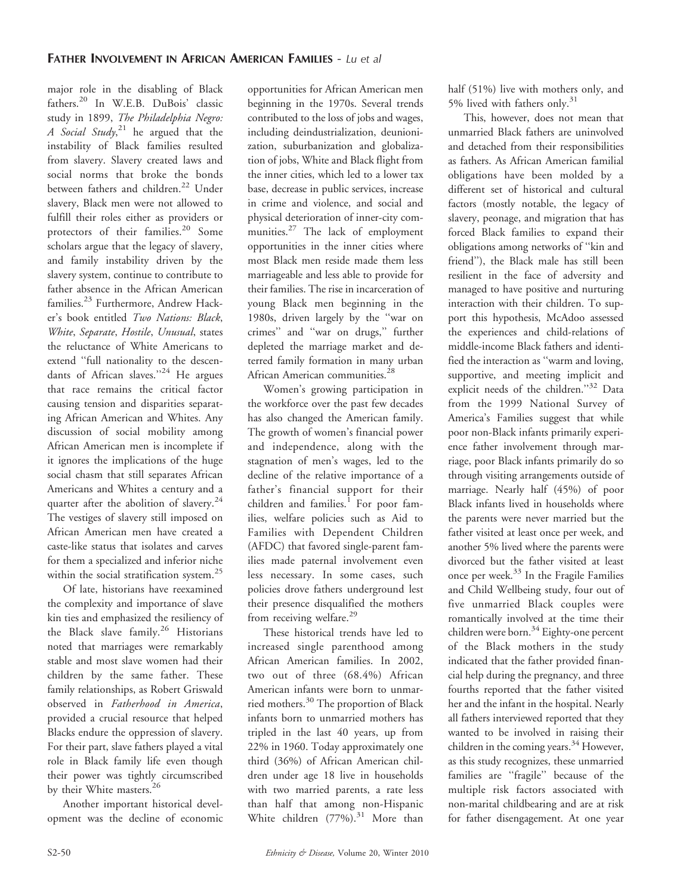major role in the disabling of Black fathers.<sup>20</sup> In W.E.B. DuBois' classic study in 1899, The Philadelphia Negro: A Social Study,<sup>21</sup> he argued that the instability of Black families resulted from slavery. Slavery created laws and social norms that broke the bonds between fathers and children.<sup>22</sup> Under slavery, Black men were not allowed to fulfill their roles either as providers or protectors of their families.<sup>20</sup> Some scholars argue that the legacy of slavery, and family instability driven by the slavery system, continue to contribute to father absence in the African American families.<sup>23</sup> Furthermore, Andrew Hacker's book entitled Two Nations: Black, White, Separate, Hostile, Unusual, states the reluctance of White Americans to extend ''full nationality to the descendants of African slaves."<sup>24</sup> He argues that race remains the critical factor causing tension and disparities separating African American and Whites. Any discussion of social mobility among African American men is incomplete if it ignores the implications of the huge social chasm that still separates African Americans and Whites a century and a quarter after the abolition of slavery.<sup>24</sup> The vestiges of slavery still imposed on African American men have created a caste-like status that isolates and carves for them a specialized and inferior niche within the social stratification system.<sup>25</sup>

Of late, historians have reexamined the complexity and importance of slave kin ties and emphasized the resiliency of the Black slave family.<sup>26</sup> Historians noted that marriages were remarkably stable and most slave women had their children by the same father. These family relationships, as Robert Griswald observed in Fatherhood in America, provided a crucial resource that helped Blacks endure the oppression of slavery. For their part, slave fathers played a vital role in Black family life even though their power was tightly circumscribed by their White masters.<sup>26</sup>

Another important historical development was the decline of economic

opportunities for African American men beginning in the 1970s. Several trends contributed to the loss of jobs and wages, including deindustrialization, deunionization, suburbanization and globalization of jobs, White and Black flight from the inner cities, which led to a lower tax base, decrease in public services, increase in crime and violence, and social and physical deterioration of inner-city communities.<sup>27</sup> The lack of employment opportunities in the inner cities where most Black men reside made them less marriageable and less able to provide for their families. The rise in incarceration of young Black men beginning in the 1980s, driven largely by the ''war on crimes'' and ''war on drugs,'' further depleted the marriage market and deterred family formation in many urban African American communities.<sup>28</sup>

Women's growing participation in the workforce over the past few decades has also changed the American family. The growth of women's financial power and independence, along with the stagnation of men's wages, led to the decline of the relative importance of a father's financial support for their children and families. $1$  For poor families, welfare policies such as Aid to Families with Dependent Children (AFDC) that favored single-parent families made paternal involvement even less necessary. In some cases, such policies drove fathers underground lest their presence disqualified the mothers from receiving welfare.<sup>29</sup>

These historical trends have led to increased single parenthood among African American families. In 2002, two out of three (68.4%) African American infants were born to unmarried mothers.<sup>30</sup> The proportion of Black infants born to unmarried mothers has tripled in the last 40 years, up from 22% in 1960. Today approximately one third (36%) of African American children under age 18 live in households with two married parents, a rate less than half that among non-Hispanic White children  $(77%)$ .<sup>31</sup> More than half (51%) live with mothers only, and 5% lived with fathers only. $31$ 

This, however, does not mean that unmarried Black fathers are uninvolved and detached from their responsibilities as fathers. As African American familial obligations have been molded by a different set of historical and cultural factors (mostly notable, the legacy of slavery, peonage, and migration that has forced Black families to expand their obligations among networks of ''kin and friend''), the Black male has still been resilient in the face of adversity and managed to have positive and nurturing interaction with their children. To support this hypothesis, McAdoo assessed the experiences and child-relations of middle-income Black fathers and identified the interaction as ''warm and loving, supportive, and meeting implicit and explicit needs of the children."32 Data from the 1999 National Survey of America's Families suggest that while poor non-Black infants primarily experience father involvement through marriage, poor Black infants primarily do so through visiting arrangements outside of marriage. Nearly half (45%) of poor Black infants lived in households where the parents were never married but the father visited at least once per week, and another 5% lived where the parents were divorced but the father visited at least once per week.33 In the Fragile Families and Child Wellbeing study, four out of five unmarried Black couples were romantically involved at the time their children were born.<sup>34</sup> Eighty-one percent of the Black mothers in the study indicated that the father provided financial help during the pregnancy, and three fourths reported that the father visited her and the infant in the hospital. Nearly all fathers interviewed reported that they wanted to be involved in raising their children in the coming years.<sup>34</sup> However, as this study recognizes, these unmarried families are ''fragile'' because of the multiple risk factors associated with non-marital childbearing and are at risk for father disengagement. At one year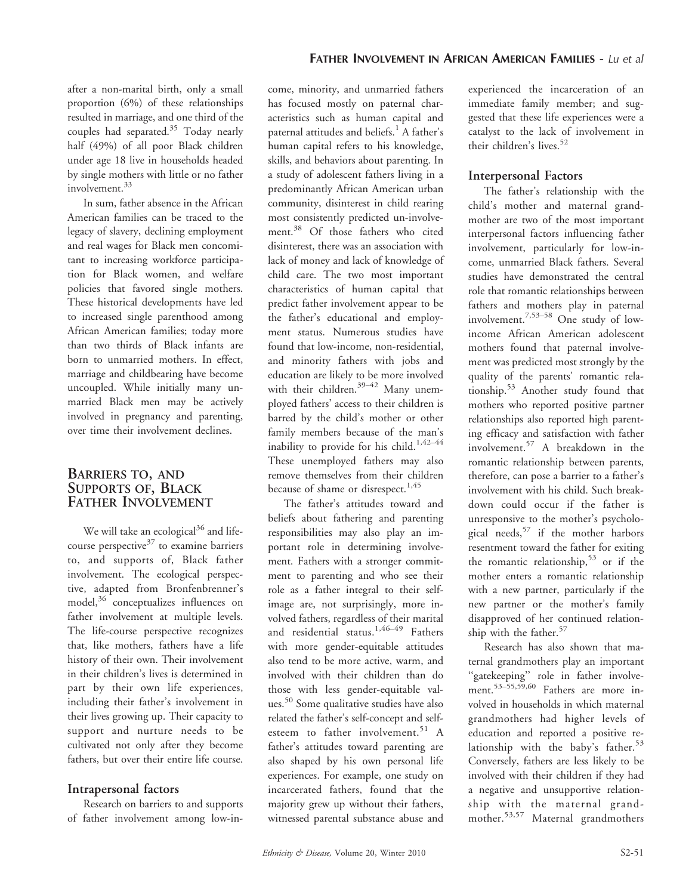after a non-marital birth, only a small proportion (6%) of these relationships resulted in marriage, and one third of the couples had separated.<sup>35</sup> Today nearly half (49%) of all poor Black children under age 18 live in households headed by single mothers with little or no father involvement.<sup>33</sup>

In sum, father absence in the African American families can be traced to the legacy of slavery, declining employment and real wages for Black men concomitant to increasing workforce participation for Black women, and welfare policies that favored single mothers. These historical developments have led to increased single parenthood among African American families; today more than two thirds of Black infants are born to unmarried mothers. In effect, marriage and childbearing have become uncoupled. While initially many unmarried Black men may be actively involved in pregnancy and parenting, over time their involvement declines.

#### BARRIERS TO, AND SUPPORTS OF, BLACK FATHER INVOLVEMENT

We will take an ecological $36$  and lifecourse perspective $37$  to examine barriers to, and supports of, Black father involvement. The ecological perspective, adapted from Bronfenbrenner's model,<sup>36</sup> conceptualizes influences on father involvement at multiple levels. The life-course perspective recognizes that, like mothers, fathers have a life history of their own. Their involvement in their children's lives is determined in part by their own life experiences, including their father's involvement in their lives growing up. Their capacity to support and nurture needs to be cultivated not only after they become fathers, but over their entire life course.

#### Intrapersonal factors

Research on barriers to and supports of father involvement among low-income, minority, and unmarried fathers has focused mostly on paternal characteristics such as human capital and paternal attitudes and beliefs.<sup>1</sup> A father's human capital refers to his knowledge, skills, and behaviors about parenting. In a study of adolescent fathers living in a predominantly African American urban community, disinterest in child rearing most consistently predicted un-involvement.<sup>38</sup> Of those fathers who cited disinterest, there was an association with lack of money and lack of knowledge of child care. The two most important characteristics of human capital that predict father involvement appear to be the father's educational and employment status. Numerous studies have found that low-income, non-residential, and minority fathers with jobs and education are likely to be more involved with their children.<sup>39–42</sup> Many unemployed fathers' access to their children is barred by the child's mother or other family members because of the man's inability to provide for his child.<sup>1,42-44</sup> These unemployed fathers may also remove themselves from their children because of shame or disrespect.<sup>1,45</sup>

The father's attitudes toward and beliefs about fathering and parenting responsibilities may also play an important role in determining involvement. Fathers with a stronger commitment to parenting and who see their role as a father integral to their selfimage are, not surprisingly, more involved fathers, regardless of their marital and residential status.<sup>1,46-49</sup> Fathers with more gender-equitable attitudes also tend to be more active, warm, and involved with their children than do those with less gender-equitable values.<sup>50</sup> Some qualitative studies have also related the father's self-concept and selfesteem to father involvement.<sup>51</sup> A father's attitudes toward parenting are also shaped by his own personal life experiences. For example, one study on incarcerated fathers, found that the majority grew up without their fathers, witnessed parental substance abuse and

experienced the incarceration of an immediate family member; and suggested that these life experiences were a catalyst to the lack of involvement in their children's lives.<sup>52</sup>

#### Interpersonal Factors

The father's relationship with the child's mother and maternal grandmother are two of the most important interpersonal factors influencing father involvement, particularly for low-income, unmarried Black fathers. Several studies have demonstrated the central role that romantic relationships between fathers and mothers play in paternal involvement.7,53–58 One study of lowincome African American adolescent mothers found that paternal involvement was predicted most strongly by the quality of the parents' romantic relationship.<sup>53</sup> Another study found that mothers who reported positive partner relationships also reported high parenting efficacy and satisfaction with father involvement.<sup>57</sup> A breakdown in the romantic relationship between parents, therefore, can pose a barrier to a father's involvement with his child. Such breakdown could occur if the father is unresponsive to the mother's psychological needs,57 if the mother harbors resentment toward the father for exiting the romantic relationship,  $53$  or if the mother enters a romantic relationship with a new partner, particularly if the new partner or the mother's family disapproved of her continued relationship with the father.<sup>57</sup>

Research has also shown that maternal grandmothers play an important ''gatekeeping'' role in father involvement.53–55,59,60 Fathers are more involved in households in which maternal grandmothers had higher levels of education and reported a positive relationship with the baby's father.<sup>53</sup> Conversely, fathers are less likely to be involved with their children if they had a negative and unsupportive relationship with the maternal grandmother.<sup>53,57</sup> Maternal grandmothers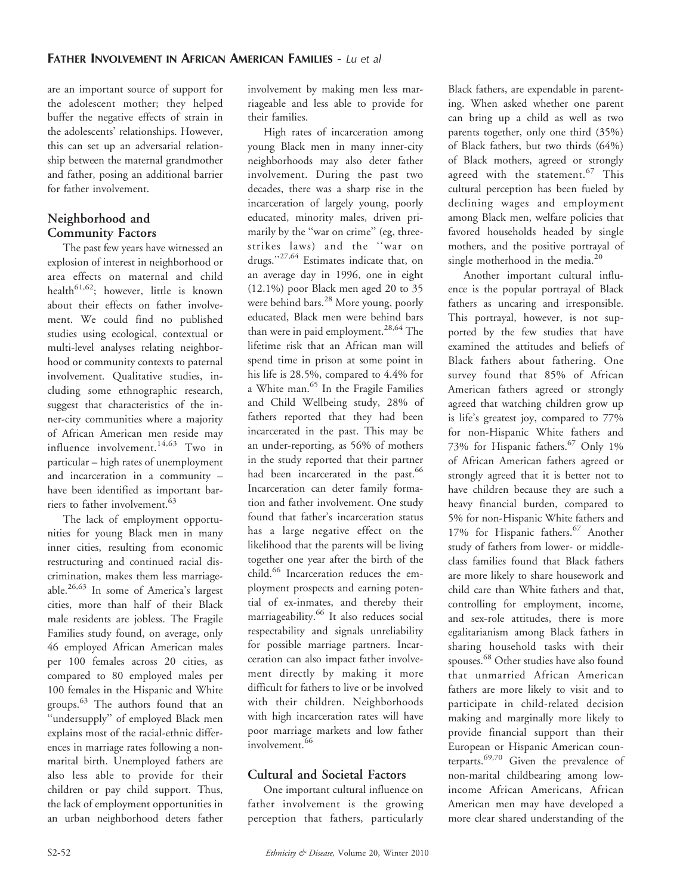are an important source of support for the adolescent mother; they helped buffer the negative effects of strain in the adolescents' relationships. However, this can set up an adversarial relationship between the maternal grandmother and father, posing an additional barrier for father involvement.

# Neighborhood and Community Factors

The past few years have witnessed an explosion of interest in neighborhood or area effects on maternal and child health<sup>61,62</sup>; however, little is known about their effects on father involvement. We could find no published studies using ecological, contextual or multi-level analyses relating neighborhood or community contexts to paternal involvement. Qualitative studies, including some ethnographic research, suggest that characteristics of the inner-city communities where a majority of African American men reside may influence involvement.<sup>14,63</sup> Two in particular – high rates of unemployment and incarceration in a community – have been identified as important barriers to father involvement.<sup>63</sup>

The lack of employment opportunities for young Black men in many inner cities, resulting from economic restructuring and continued racial discrimination, makes them less marriageable.26,63 In some of America's largest cities, more than half of their Black male residents are jobless. The Fragile Families study found, on average, only 46 employed African American males per 100 females across 20 cities, as compared to 80 employed males per 100 females in the Hispanic and White groups.63 The authors found that an ''undersupply'' of employed Black men explains most of the racial-ethnic differences in marriage rates following a nonmarital birth. Unemployed fathers are also less able to provide for their children or pay child support. Thus, the lack of employment opportunities in an urban neighborhood deters father involvement by making men less marriageable and less able to provide for their families.

High rates of incarceration among young Black men in many inner-city neighborhoods may also deter father involvement. During the past two decades, there was a sharp rise in the incarceration of largely young, poorly educated, minority males, driven primarily by the "war on crime" (eg, threestrikes laws) and the ''war on drugs."<sup>27,64</sup> Estimates indicate that, on an average day in 1996, one in eight (12.1%) poor Black men aged 20 to 35 were behind bars.<sup>28</sup> More young, poorly educated, Black men were behind bars than were in paid employment.<sup>28,64</sup> The lifetime risk that an African man will spend time in prison at some point in his life is 28.5%, compared to 4.4% for a White man.<sup>65</sup> In the Fragile Families and Child Wellbeing study, 28% of fathers reported that they had been incarcerated in the past. This may be an under-reporting, as 56% of mothers in the study reported that their partner had been incarcerated in the past.<sup>66</sup> Incarceration can deter family formation and father involvement. One study found that father's incarceration status has a large negative effect on the likelihood that the parents will be living together one year after the birth of the child.<sup>66</sup> Incarceration reduces the employment prospects and earning potential of ex-inmates, and thereby their marriageability.<sup>66</sup> It also reduces social respectability and signals unreliability for possible marriage partners. Incarceration can also impact father involvement directly by making it more difficult for fathers to live or be involved with their children. Neighborhoods with high incarceration rates will have poor marriage markets and low father involvement.<sup>66</sup>

# Cultural and Societal Factors

One important cultural influence on father involvement is the growing perception that fathers, particularly Black fathers, are expendable in parenting. When asked whether one parent can bring up a child as well as two parents together, only one third (35%) of Black fathers, but two thirds (64%) of Black mothers, agreed or strongly agreed with the statement.<sup>67</sup> This cultural perception has been fueled by declining wages and employment among Black men, welfare policies that favored households headed by single mothers, and the positive portrayal of single motherhood in the media.<sup>20</sup>

Another important cultural influence is the popular portrayal of Black fathers as uncaring and irresponsible. This portrayal, however, is not supported by the few studies that have examined the attitudes and beliefs of Black fathers about fathering. One survey found that 85% of African American fathers agreed or strongly agreed that watching children grow up is life's greatest joy, compared to 77% for non-Hispanic White fathers and 73% for Hispanic fathers.<sup>67</sup> Only 1% of African American fathers agreed or strongly agreed that it is better not to have children because they are such a heavy financial burden, compared to 5% for non-Hispanic White fathers and 17% for Hispanic fathers.<sup>67</sup> Another study of fathers from lower- or middleclass families found that Black fathers are more likely to share housework and child care than White fathers and that, controlling for employment, income, and sex-role attitudes, there is more egalitarianism among Black fathers in sharing household tasks with their spouses. <sup>68</sup> Other studies have also found that unmarried African American fathers are more likely to visit and to participate in child-related decision making and marginally more likely to provide financial support than their European or Hispanic American counterparts. $69,70$  Given the prevalence of non-marital childbearing among lowincome African Americans, African American men may have developed a more clear shared understanding of the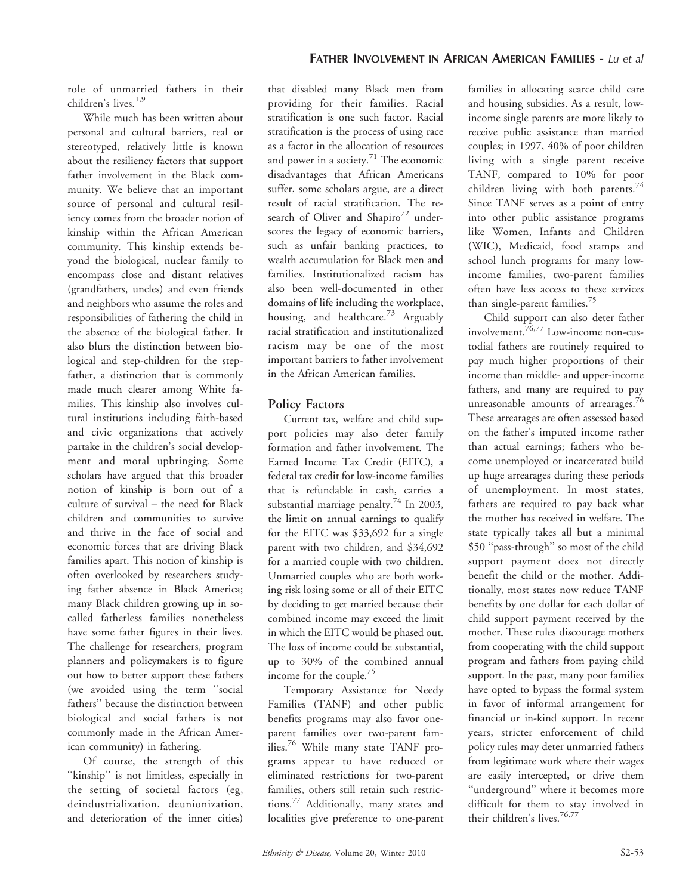role of unmarried fathers in their children's lives.1,9

While much has been written about personal and cultural barriers, real or stereotyped, relatively little is known about the resiliency factors that support father involvement in the Black community. We believe that an important source of personal and cultural resiliency comes from the broader notion of kinship within the African American community. This kinship extends beyond the biological, nuclear family to encompass close and distant relatives (grandfathers, uncles) and even friends and neighbors who assume the roles and responsibilities of fathering the child in the absence of the biological father. It also blurs the distinction between biological and step-children for the stepfather, a distinction that is commonly made much clearer among White families. This kinship also involves cultural institutions including faith-based and civic organizations that actively partake in the children's social development and moral upbringing. Some scholars have argued that this broader notion of kinship is born out of a culture of survival – the need for Black children and communities to survive and thrive in the face of social and economic forces that are driving Black families apart. This notion of kinship is often overlooked by researchers studying father absence in Black America; many Black children growing up in socalled fatherless families nonetheless have some father figures in their lives. The challenge for researchers, program planners and policymakers is to figure out how to better support these fathers (we avoided using the term ''social fathers'' because the distinction between biological and social fathers is not commonly made in the African American community) in fathering.

Of course, the strength of this ''kinship'' is not limitless, especially in the setting of societal factors (eg, deindustrialization, deunionization, and deterioration of the inner cities)

that disabled many Black men from providing for their families. Racial stratification is one such factor. Racial stratification is the process of using race as a factor in the allocation of resources and power in a society. $71$  The economic disadvantages that African Americans suffer, some scholars argue, are a direct result of racial stratification. The research of Oliver and Shapiro<sup>72</sup> underscores the legacy of economic barriers, such as unfair banking practices, to wealth accumulation for Black men and families. Institutionalized racism has also been well-documented in other domains of life including the workplace, housing, and healthcare.<sup>73</sup> Arguably racial stratification and institutionalized racism may be one of the most important barriers to father involvement in the African American families.

# Policy Factors

Current tax, welfare and child support policies may also deter family formation and father involvement. The Earned Income Tax Credit (EITC), a federal tax credit for low-income families that is refundable in cash, carries a substantial marriage penalty.<sup>74</sup> In 2003, the limit on annual earnings to qualify for the EITC was \$33,692 for a single parent with two children, and \$34,692 for a married couple with two children. Unmarried couples who are both working risk losing some or all of their EITC by deciding to get married because their combined income may exceed the limit in which the EITC would be phased out. The loss of income could be substantial, up to 30% of the combined annual income for the couple.75

Temporary Assistance for Needy Families (TANF) and other public benefits programs may also favor oneparent families over two-parent families.<sup>76</sup> While many state TANF programs appear to have reduced or eliminated restrictions for two-parent families, others still retain such restrictions.<sup>77</sup> Additionally, many states and localities give preference to one-parent families in allocating scarce child care and housing subsidies. As a result, lowincome single parents are more likely to receive public assistance than married couples; in 1997, 40% of poor children living with a single parent receive TANF, compared to 10% for poor children living with both parents.<sup>74</sup> Since TANF serves as a point of entry into other public assistance programs like Women, Infants and Children (WIC), Medicaid, food stamps and school lunch programs for many lowincome families, two-parent families often have less access to these services than single-parent families.<sup>75</sup>

Child support can also deter father involvement.76,77 Low-income non-custodial fathers are routinely required to pay much higher proportions of their income than middle- and upper-income fathers, and many are required to pay unreasonable amounts of arrearages.<sup>76</sup> These arrearages are often assessed based on the father's imputed income rather than actual earnings; fathers who become unemployed or incarcerated build up huge arrearages during these periods of unemployment. In most states, fathers are required to pay back what the mother has received in welfare. The state typically takes all but a minimal \$50 ''pass-through'' so most of the child support payment does not directly benefit the child or the mother. Additionally, most states now reduce TANF benefits by one dollar for each dollar of child support payment received by the mother. These rules discourage mothers from cooperating with the child support program and fathers from paying child support. In the past, many poor families have opted to bypass the formal system in favor of informal arrangement for financial or in-kind support. In recent years, stricter enforcement of child policy rules may deter unmarried fathers from legitimate work where their wages are easily intercepted, or drive them ''underground'' where it becomes more difficult for them to stay involved in their children's lives.<sup>76,77</sup>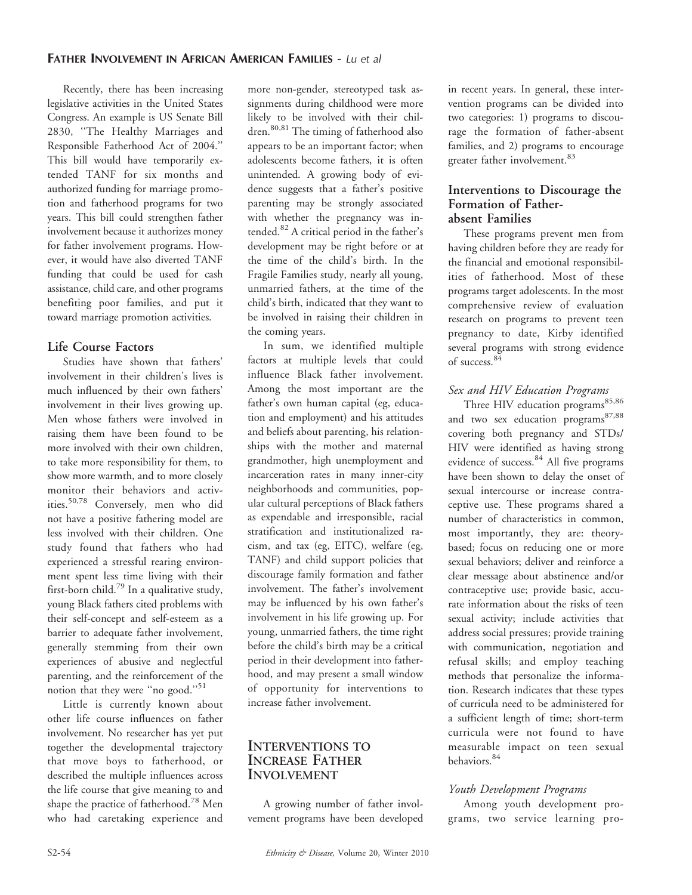Recently, there has been increasing legislative activities in the United States Congress. An example is US Senate Bill 2830, ''The Healthy Marriages and Responsible Fatherhood Act of 2004.'' This bill would have temporarily extended TANF for six months and authorized funding for marriage promotion and fatherhood programs for two years. This bill could strengthen father involvement because it authorizes money for father involvement programs. However, it would have also diverted TANF funding that could be used for cash assistance, child care, and other programs benefiting poor families, and put it toward marriage promotion activities.

# Life Course Factors

Studies have shown that fathers' involvement in their children's lives is much influenced by their own fathers' involvement in their lives growing up. Men whose fathers were involved in raising them have been found to be more involved with their own children, to take more responsibility for them, to show more warmth, and to more closely monitor their behaviors and activities.50,78 Conversely, men who did not have a positive fathering model are less involved with their children. One study found that fathers who had experienced a stressful rearing environment spent less time living with their first-born child.<sup>79</sup> In a qualitative study, young Black fathers cited problems with their self-concept and self-esteem as a barrier to adequate father involvement, generally stemming from their own experiences of abusive and neglectful parenting, and the reinforcement of the notion that they were "no good."<sup>51</sup>

Little is currently known about other life course influences on father involvement. No researcher has yet put together the developmental trajectory that move boys to fatherhood, or described the multiple influences across the life course that give meaning to and shape the practice of fatherhood.<sup>78</sup> Men who had caretaking experience and

more non-gender, stereotyped task assignments during childhood were more likely to be involved with their children.80,81 The timing of fatherhood also appears to be an important factor; when adolescents become fathers, it is often unintended. A growing body of evidence suggests that a father's positive parenting may be strongly associated with whether the pregnancy was intended.<sup>82</sup> A critical period in the father's development may be right before or at the time of the child's birth. In the Fragile Families study, nearly all young, unmarried fathers, at the time of the child's birth, indicated that they want to be involved in raising their children in the coming years.

In sum, we identified multiple factors at multiple levels that could influence Black father involvement. Among the most important are the father's own human capital (eg, education and employment) and his attitudes and beliefs about parenting, his relationships with the mother and maternal grandmother, high unemployment and incarceration rates in many inner-city neighborhoods and communities, popular cultural perceptions of Black fathers as expendable and irresponsible, racial stratification and institutionalized racism, and tax (eg, EITC), welfare (eg, TANF) and child support policies that discourage family formation and father involvement. The father's involvement may be influenced by his own father's involvement in his life growing up. For young, unmarried fathers, the time right before the child's birth may be a critical period in their development into fatherhood, and may present a small window of opportunity for interventions to increase father involvement.

### INTERVENTIONS TO INCREASE FATHER INVOLVEMENT

A growing number of father involvement programs have been developed in recent years. In general, these intervention programs can be divided into two categories: 1) programs to discourage the formation of father-absent families, and 2) programs to encourage greater father involvement.<sup>83</sup>

#### Interventions to Discourage the Formation of Fatherabsent Families

These programs prevent men from having children before they are ready for the financial and emotional responsibilities of fatherhood. Most of these programs target adolescents. In the most comprehensive review of evaluation research on programs to prevent teen pregnancy to date, Kirby identified several programs with strong evidence of success.<sup>84</sup>

# Sex and HIV Education Programs

Three HIV education programs $85,86$ and two sex education programs<sup>87,88</sup> covering both pregnancy and STDs/ HIV were identified as having strong evidence of success.<sup>84</sup> All five programs have been shown to delay the onset of sexual intercourse or increase contraceptive use. These programs shared a number of characteristics in common, most importantly, they are: theorybased; focus on reducing one or more sexual behaviors; deliver and reinforce a clear message about abstinence and/or contraceptive use; provide basic, accurate information about the risks of teen sexual activity; include activities that address social pressures; provide training with communication, negotiation and refusal skills; and employ teaching methods that personalize the information. Research indicates that these types of curricula need to be administered for a sufficient length of time; short-term curricula were not found to have measurable impact on teen sexual behaviors.<sup>84</sup>

# Youth Development Programs

Among youth development programs, two service learning pro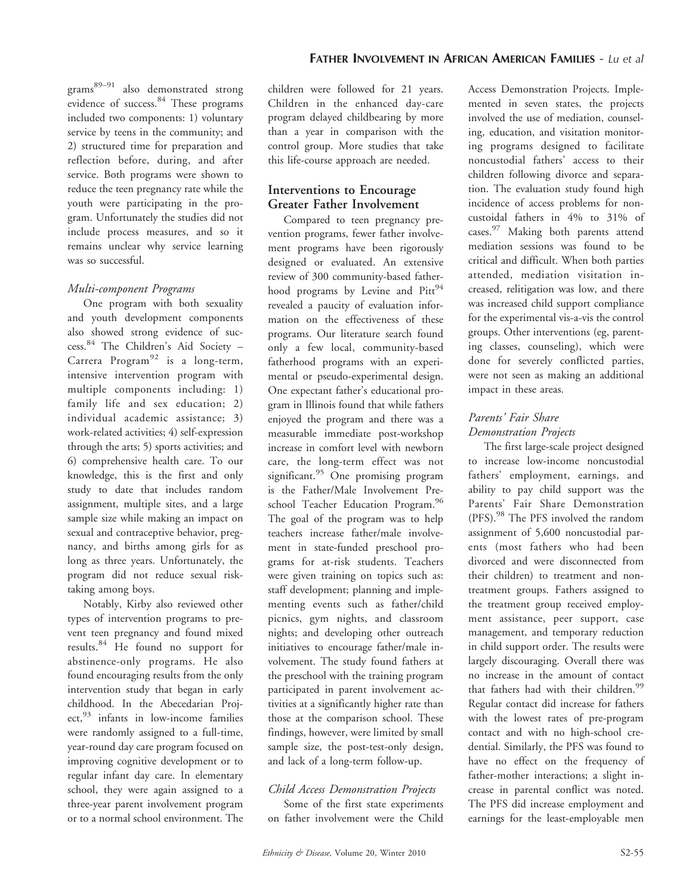$grams<sup>89–91</sup>$  also demonstrated strong evidence of success.<sup>84</sup> These programs included two components: 1) voluntary service by teens in the community; and 2) structured time for preparation and reflection before, during, and after service. Both programs were shown to reduce the teen pregnancy rate while the youth were participating in the program. Unfortunately the studies did not include process measures, and so it remains unclear why service learning was so successful.

#### Multi-component Programs

One program with both sexuality and youth development components also showed strong evidence of success.<sup>84</sup> The Children's Aid Society – Carrera Program<sup>92</sup> is a long-term, intensive intervention program with multiple components including: 1) family life and sex education; 2) individual academic assistance; 3) work-related activities; 4) self-expression through the arts; 5) sports activities; and 6) comprehensive health care. To our knowledge, this is the first and only study to date that includes random assignment, multiple sites, and a large sample size while making an impact on sexual and contraceptive behavior, pregnancy, and births among girls for as long as three years. Unfortunately, the program did not reduce sexual risktaking among boys.

Notably, Kirby also reviewed other types of intervention programs to prevent teen pregnancy and found mixed results.<sup>84</sup> He found no support for abstinence-only programs. He also found encouraging results from the only intervention study that began in early childhood. In the Abecedarian Project,<sup>93</sup> infants in low-income families were randomly assigned to a full-time, year-round day care program focused on improving cognitive development or to regular infant day care. In elementary school, they were again assigned to a three-year parent involvement program or to a normal school environment. The

children were followed for 21 years. Children in the enhanced day-care program delayed childbearing by more than a year in comparison with the control group. More studies that take this life-course approach are needed.

# Interventions to Encourage Greater Father Involvement

Compared to teen pregnancy prevention programs, fewer father involvement programs have been rigorously designed or evaluated. An extensive review of 300 community-based fatherhood programs by Levine and  $Pitt^{94}$ revealed a paucity of evaluation information on the effectiveness of these programs. Our literature search found only a few local, community-based fatherhood programs with an experimental or pseudo-experimental design. One expectant father's educational program in Illinois found that while fathers enjoyed the program and there was a measurable immediate post-workshop increase in comfort level with newborn care, the long-term effect was not significant.<sup>95</sup> One promising program is the Father/Male Involvement Preschool Teacher Education Program.<sup>96</sup> The goal of the program was to help teachers increase father/male involvement in state-funded preschool programs for at-risk students. Teachers were given training on topics such as: staff development; planning and implementing events such as father/child picnics, gym nights, and classroom nights; and developing other outreach initiatives to encourage father/male involvement. The study found fathers at the preschool with the training program participated in parent involvement activities at a significantly higher rate than those at the comparison school. These findings, however, were limited by small sample size, the post-test-only design, and lack of a long-term follow-up.

# Child Access Demonstration Projects

Some of the first state experiments on father involvement were the Child Access Demonstration Projects. Implemented in seven states, the projects involved the use of mediation, counseling, education, and visitation monitoring programs designed to facilitate noncustodial fathers' access to their children following divorce and separation. The evaluation study found high incidence of access problems for noncustoidal fathers in 4% to 31% of cases.<sup>97</sup> Making both parents attend mediation sessions was found to be critical and difficult. When both parties attended, mediation visitation increased, relitigation was low, and there was increased child support compliance for the experimental vis-a-vis the control groups. Other interventions (eg, parenting classes, counseling), which were done for severely conflicted parties, were not seen as making an additional impact in these areas.

# Parents' Fair Share Demonstration Projects

The first large-scale project designed to increase low-income noncustodial fathers' employment, earnings, and ability to pay child support was the Parents' Fair Share Demonstration (PFS).<sup>98</sup> The PFS involved the random assignment of 5,600 noncustodial parents (most fathers who had been divorced and were disconnected from their children) to treatment and nontreatment groups. Fathers assigned to the treatment group received employment assistance, peer support, case management, and temporary reduction in child support order. The results were largely discouraging. Overall there was no increase in the amount of contact that fathers had with their children.<sup>99</sup> Regular contact did increase for fathers with the lowest rates of pre-program contact and with no high-school credential. Similarly, the PFS was found to have no effect on the frequency of father-mother interactions; a slight increase in parental conflict was noted. The PFS did increase employment and earnings for the least-employable men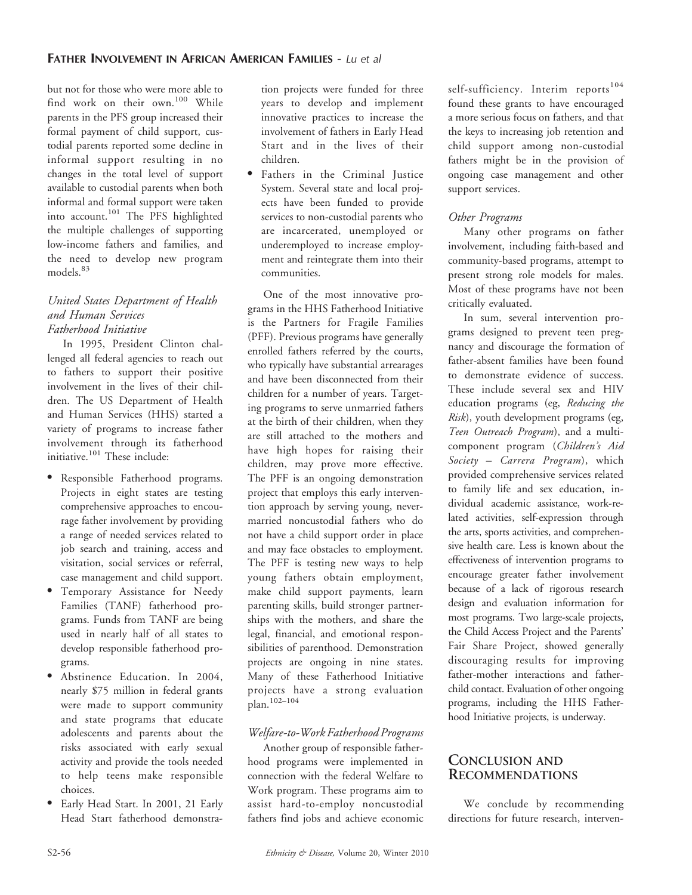but not for those who were more able to find work on their own.<sup>100</sup> While parents in the PFS group increased their formal payment of child support, custodial parents reported some decline in informal support resulting in no changes in the total level of support available to custodial parents when both informal and formal support were taken into account.<sup>101</sup> The PFS highlighted the multiple challenges of supporting low-income fathers and families, and the need to develop new program models.<sup>83</sup>

#### United States Department of Health and Human Services Fatherhood Initiative

In 1995, President Clinton challenged all federal agencies to reach out to fathers to support their positive involvement in the lives of their children. The US Department of Health and Human Services (HHS) started a variety of programs to increase father involvement through its fatherhood initiative.<sup>101</sup> These include:

- Responsible Fatherhood programs. Projects in eight states are testing comprehensive approaches to encourage father involvement by providing a range of needed services related to job search and training, access and visitation, social services or referral, case management and child support.
- Temporary Assistance for Needy Families (TANF) fatherhood programs. Funds from TANF are being used in nearly half of all states to develop responsible fatherhood programs.
- Abstinence Education. In 2004, nearly \$75 million in federal grants were made to support community and state programs that educate adolescents and parents about the risks associated with early sexual activity and provide the tools needed to help teens make responsible choices.
- Early Head Start. In 2001, 21 Early Head Start fatherhood demonstra-

tion projects were funded for three years to develop and implement innovative practices to increase the involvement of fathers in Early Head Start and in the lives of their children.

• Fathers in the Criminal Justice System. Several state and local projects have been funded to provide services to non-custodial parents who are incarcerated, unemployed or underemployed to increase employment and reintegrate them into their communities.

One of the most innovative programs in the HHS Fatherhood Initiative is the Partners for Fragile Families (PFF). Previous programs have generally enrolled fathers referred by the courts, who typically have substantial arrearages and have been disconnected from their children for a number of years. Targeting programs to serve unmarried fathers at the birth of their children, when they are still attached to the mothers and have high hopes for raising their children, may prove more effective. The PFF is an ongoing demonstration project that employs this early intervention approach by serving young, nevermarried noncustodial fathers who do not have a child support order in place and may face obstacles to employment. The PFF is testing new ways to help young fathers obtain employment, make child support payments, learn parenting skills, build stronger partnerships with the mothers, and share the legal, financial, and emotional responsibilities of parenthood. Demonstration projects are ongoing in nine states. Many of these Fatherhood Initiative projects have a strong evaluation plan.102–104

# Welfare-to-Work Fatherhood Programs

Another group of responsible fatherhood programs were implemented in connection with the federal Welfare to Work program. These programs aim to assist hard-to-employ noncustodial fathers find jobs and achieve economic self-sufficiency. Interim reports<sup>104</sup> found these grants to have encouraged a more serious focus on fathers, and that the keys to increasing job retention and child support among non-custodial fathers might be in the provision of ongoing case management and other support services.

#### Other Programs

Many other programs on father involvement, including faith-based and community-based programs, attempt to present strong role models for males. Most of these programs have not been critically evaluated.

In sum, several intervention programs designed to prevent teen pregnancy and discourage the formation of father-absent families have been found to demonstrate evidence of success. These include several sex and HIV education programs (eg, Reducing the Risk), youth development programs (eg, Teen Outreach Program), and a multicomponent program (Children's Aid Society – Carrera Program), which provided comprehensive services related to family life and sex education, individual academic assistance, work-related activities, self-expression through the arts, sports activities, and comprehensive health care. Less is known about the effectiveness of intervention programs to encourage greater father involvement because of a lack of rigorous research design and evaluation information for most programs. Two large-scale projects, the Child Access Project and the Parents' Fair Share Project, showed generally discouraging results for improving father-mother interactions and fatherchild contact. Evaluation of other ongoing programs, including the HHS Fatherhood Initiative projects, is underway.

# CONCLUSION AND RECOMMENDATIONS

We conclude by recommending directions for future research, interven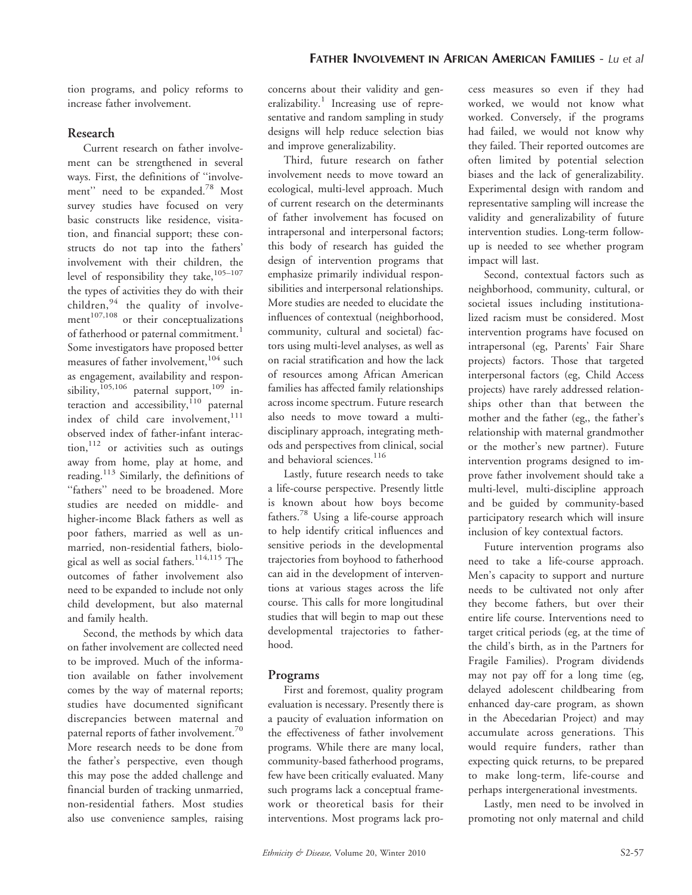tion programs, and policy reforms to increase father involvement.

### Research

Current research on father involvement can be strengthened in several ways. First, the definitions of ''involvement" need to be expanded.<sup>78</sup> Most survey studies have focused on very basic constructs like residence, visitation, and financial support; these constructs do not tap into the fathers' involvement with their children, the level of responsibility they take,<sup>105-107</sup> the types of activities they do with their children,<sup>94</sup> the quality of involvement<sup>107,108</sup> or their conceptualizations of fatherhood or paternal commitment.<sup>1</sup> Some investigators have proposed better measures of father involvement, <sup>104</sup> such as engagement, availability and responsibility,<sup>105,106</sup> paternal support,<sup>109</sup> interaction and accessibility, $110$  paternal index of child care involvement, 111 observed index of father-infant interac- $\text{tion}$ ,  $^{112}$  or activities such as outings away from home, play at home, and reading.<sup>113</sup> Similarly, the definitions of ''fathers'' need to be broadened. More studies are needed on middle- and higher-income Black fathers as well as poor fathers, married as well as unmarried, non-residential fathers, biological as well as social fathers.<sup>114,115</sup> The outcomes of father involvement also need to be expanded to include not only child development, but also maternal and family health.

Second, the methods by which data on father involvement are collected need to be improved. Much of the information available on father involvement comes by the way of maternal reports; studies have documented significant discrepancies between maternal and paternal reports of father involvement.<sup>70</sup> More research needs to be done from the father's perspective, even though this may pose the added challenge and financial burden of tracking unmarried, non-residential fathers. Most studies also use convenience samples, raising concerns about their validity and generalizability.<sup>1</sup> Increasing use of representative and random sampling in study designs will help reduce selection bias and improve generalizability.

Third, future research on father involvement needs to move toward an ecological, multi-level approach. Much of current research on the determinants of father involvement has focused on intrapersonal and interpersonal factors; this body of research has guided the design of intervention programs that emphasize primarily individual responsibilities and interpersonal relationships. More studies are needed to elucidate the influences of contextual (neighborhood, community, cultural and societal) factors using multi-level analyses, as well as on racial stratification and how the lack of resources among African American families has affected family relationships across income spectrum. Future research also needs to move toward a multidisciplinary approach, integrating methods and perspectives from clinical, social and behavioral sciences.<sup>116</sup>

Lastly, future research needs to take a life-course perspective. Presently little is known about how boys become fathers.<sup>78</sup> Using a life-course approach to help identify critical influences and sensitive periods in the developmental trajectories from boyhood to fatherhood can aid in the development of interventions at various stages across the life course. This calls for more longitudinal studies that will begin to map out these developmental trajectories to fatherhood.

# Programs

First and foremost, quality program evaluation is necessary. Presently there is a paucity of evaluation information on the effectiveness of father involvement programs. While there are many local, community-based fatherhood programs, few have been critically evaluated. Many such programs lack a conceptual framework or theoretical basis for their interventions. Most programs lack process measures so even if they had worked, we would not know what worked. Conversely, if the programs had failed, we would not know why they failed. Their reported outcomes are often limited by potential selection biases and the lack of generalizability. Experimental design with random and representative sampling will increase the validity and generalizability of future intervention studies. Long-term followup is needed to see whether program impact will last.

Second, contextual factors such as neighborhood, community, cultural, or societal issues including institutionalized racism must be considered. Most intervention programs have focused on intrapersonal (eg, Parents' Fair Share projects) factors. Those that targeted interpersonal factors (eg, Child Access projects) have rarely addressed relationships other than that between the mother and the father (eg,, the father's relationship with maternal grandmother or the mother's new partner). Future intervention programs designed to improve father involvement should take a multi-level, multi-discipline approach and be guided by community-based participatory research which will insure inclusion of key contextual factors.

Future intervention programs also need to take a life-course approach. Men's capacity to support and nurture needs to be cultivated not only after they become fathers, but over their entire life course. Interventions need to target critical periods (eg, at the time of the child's birth, as in the Partners for Fragile Families). Program dividends may not pay off for a long time (eg, delayed adolescent childbearing from enhanced day-care program, as shown in the Abecedarian Project) and may accumulate across generations. This would require funders, rather than expecting quick returns, to be prepared to make long-term, life-course and perhaps intergenerational investments.

Lastly, men need to be involved in promoting not only maternal and child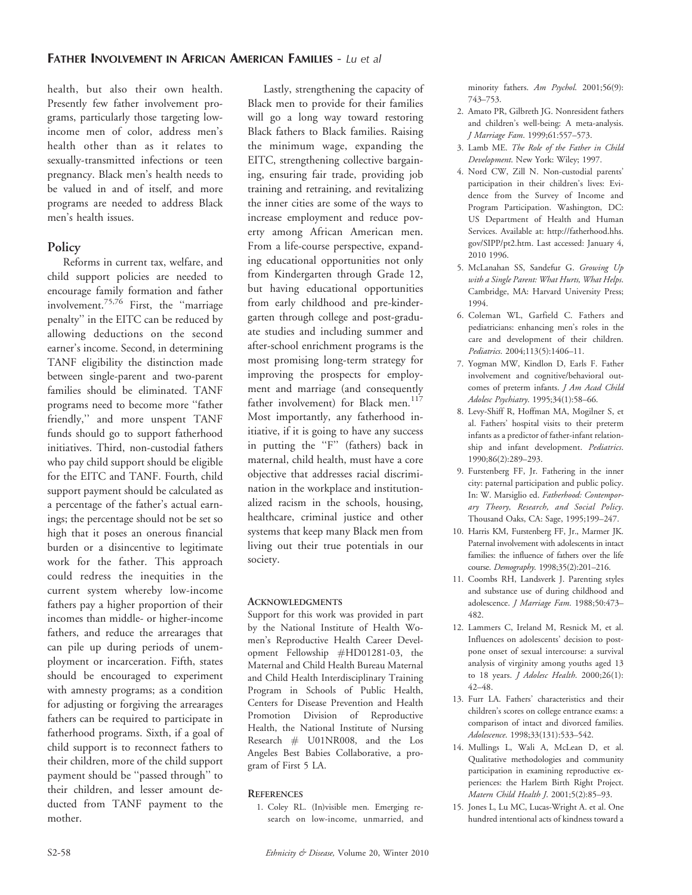health, but also their own health. Presently few father involvement programs, particularly those targeting lowincome men of color, address men's health other than as it relates to sexually-transmitted infections or teen pregnancy. Black men's health needs to be valued in and of itself, and more programs are needed to address Black men's health issues.

#### **Policy**

Reforms in current tax, welfare, and child support policies are needed to encourage family formation and father involvement.75,76 First, the ''marriage penalty'' in the EITC can be reduced by allowing deductions on the second earner's income. Second, in determining TANF eligibility the distinction made between single-parent and two-parent families should be eliminated. TANF programs need to become more ''father friendly,'' and more unspent TANF funds should go to support fatherhood initiatives. Third, non-custodial fathers who pay child support should be eligible for the EITC and TANF. Fourth, child support payment should be calculated as a percentage of the father's actual earnings; the percentage should not be set so high that it poses an onerous financial burden or a disincentive to legitimate work for the father. This approach could redress the inequities in the current system whereby low-income fathers pay a higher proportion of their incomes than middle- or higher-income fathers, and reduce the arrearages that can pile up during periods of unemployment or incarceration. Fifth, states should be encouraged to experiment with amnesty programs; as a condition for adjusting or forgiving the arrearages fathers can be required to participate in fatherhood programs. Sixth, if a goal of child support is to reconnect fathers to their children, more of the child support payment should be ''passed through'' to their children, and lesser amount deducted from TANF payment to the mother.

Lastly, strengthening the capacity of Black men to provide for their families will go a long way toward restoring Black fathers to Black families. Raising the minimum wage, expanding the EITC, strengthening collective bargaining, ensuring fair trade, providing job training and retraining, and revitalizing the inner cities are some of the ways to increase employment and reduce poverty among African American men. From a life-course perspective, expanding educational opportunities not only from Kindergarten through Grade 12, but having educational opportunities from early childhood and pre-kindergarten through college and post-graduate studies and including summer and after-school enrichment programs is the most promising long-term strategy for improving the prospects for employment and marriage (and consequently father involvement) for Black men.<sup>117</sup> Most importantly, any fatherhood initiative, if it is going to have any success in putting the ''F'' (fathers) back in maternal, child health, must have a core objective that addresses racial discrimination in the workplace and institutionalized racism in the schools, housing, healthcare, criminal justice and other systems that keep many Black men from living out their true potentials in our society.

#### **ACKNOWLEDGMENTS**

Support for this work was provided in part by the National Institute of Health Women's Reproductive Health Career Development Fellowship #HD01281-03, the Maternal and Child Health Bureau Maternal and Child Health Interdisciplinary Training Program in Schools of Public Health, Centers for Disease Prevention and Health Promotion Division of Reproductive Health, the National Institute of Nursing Research # U01NR008, and the Los Angeles Best Babies Collaborative, a program of First 5 LA.

#### **REFERENCES**

1. Coley RL. (In)visible men. Emerging research on low-income, unmarried, and minority fathers. Am Psychol. 2001;56(9): 743–753.

- 2. Amato PR, Gilbreth JG. Nonresident fathers and children's well-being: A meta-analysis. J Marriage Fam. 1999;61:557–573.
- 3. Lamb ME. The Role of the Father in Child Development. New York: Wiley; 1997.
- 4. Nord CW, Zill N. Non-custodial parents' participation in their children's lives: Evidence from the Survey of Income and Program Participation. Washington, DC: US Department of Health and Human Services. Available at: http://fatherhood.hhs. gov/SIPP/pt2.htm. Last accessed: January 4, 2010 1996.
- 5. McLanahan SS, Sandefur G. Growing Up with a Single Parent: What Hurts, What Helps. Cambridge, MA: Harvard University Press; 1994.
- 6. Coleman WL, Garfield C. Fathers and pediatricians: enhancing men's roles in the care and development of their children. Pediatrics. 2004;113(5):1406–11.
- 7. Yogman MW, Kindlon D, Earls F. Father involvement and cognitive/behavioral outcomes of preterm infants. J Am Acad Child Adolesc Psychiatry. 1995;34(1):58–66.
- 8. Levy-Shiff R, Hoffman MA, Mogilner S, et al. Fathers' hospital visits to their preterm infants as a predictor of father-infant relationship and infant development. Pediatrics. 1990;86(2):289–293.
- 9. Furstenberg FF, Jr. Fathering in the inner city: paternal participation and public policy. In: W. Marsiglio ed. Fatherhood: Contemporary Theory, Research, and Social Policy. Thousand Oaks, CA: Sage, 1995;199–247.
- 10. Harris KM, Furstenberg FF, Jr., Marmer JK. Paternal involvement with adolescents in intact families: the influence of fathers over the life course. Demography. 1998;35(2):201-216.
- 11. Coombs RH, Landsverk J. Parenting styles and substance use of during childhood and adolescence. J Marriage Fam. 1988;50:473– 482.
- 12. Lammers C, Ireland M, Resnick M, et al. Influences on adolescents' decision to postpone onset of sexual intercourse: a survival analysis of virginity among youths aged 13 to 18 years. *J Adolesc Health*. 2000;26(1): 42–48.
- 13. Furr LA. Fathers' characteristics and their children's scores on college entrance exams: a comparison of intact and divorced families. Adolescence. 1998;33(131):533–542.
- 14. Mullings L, Wali A, McLean D, et al. Qualitative methodologies and community participation in examining reproductive experiences: the Harlem Birth Right Project. Matern Child Health J. 2001;5(2):85–93.
- 15. Jones L, Lu MC, Lucas-Wright A. et al. One hundred intentional acts of kindness toward a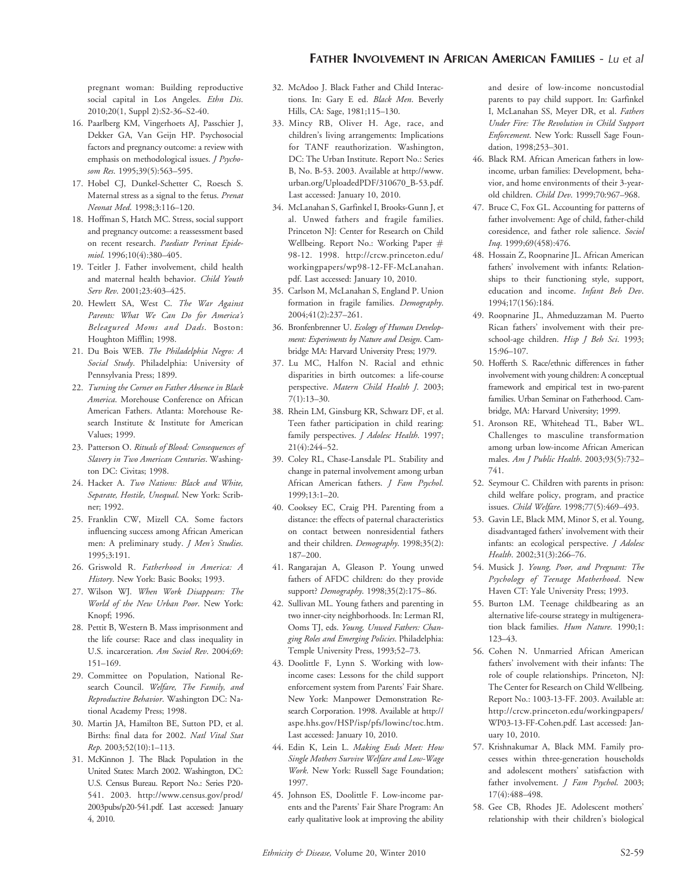pregnant woman: Building reproductive social capital in Los Angeles. Ethn Dis. 2010;20(1, Suppl 2):S2-36–S2-40.

- 16. Paarlberg KM, Vingerhoets AJ, Passchier J, Dekker GA, Van Geijn HP. Psychosocial factors and pregnancy outcome: a review with emphasis on methodological issues. *J Psycho*som Res. 1995;39(5):563-595.
- 17. Hobel CJ, Dunkel-Schetter C, Roesch S. Maternal stress as a signal to the fetus. Prenat Neonat Med. 1998;3:116–120.
- 18. Hoffman S, Hatch MC. Stress, social support and pregnancy outcome: a reassessment based on recent research. Paediatr Perinat Epidemiol. 1996;10(4):380–405.
- 19. Teitler J. Father involvement, child health and maternal health behavior. Child Youth Serv Rev. 2001;23:403-425.
- 20. Hewlett SA, West C. The War Against Parents: What We Can Do for America's Beleagured Moms and Dads. Boston: Houghton Mifflin; 1998.
- 21. Du Bois WEB. The Philadelphia Negro: A Social Study. Philadelphia: University of Pennsylvania Press; 1899.
- 22. Turning the Corner on Father Absence in Black America. Morehouse Conference on African American Fathers. Atlanta: Morehouse Research Institute & Institute for American Values; 1999.
- 23. Patterson O. Rituals of Blood: Consequences of Slavery in Two American Centuries. Washington DC: Civitas; 1998.
- 24. Hacker A. Two Nations: Black and White, Separate, Hostile, Unequal. New York: Scribner; 1992.
- 25. Franklin CW, Mizell CA. Some factors influencing success among African American men: A preliminary study. J Men's Studies. 1995;3:191.
- 26. Griswold R. Fatherhood in America: A History. New York: Basic Books; 1993.
- 27. Wilson WJ. When Work Disappears: The World of the New Urban Poor. New York: Knopf; 1996.
- 28. Pettit B, Western B. Mass imprisonment and the life course: Race and class inequality in U.S. incarceration. Am Sociol Rev. 2004;69: 151–169.
- 29. Committee on Population, National Research Council. Welfare, The Family, and Reproductive Behavior. Washington DC: National Academy Press; 1998.
- 30. Martin JA, Hamilton BE, Sutton PD, et al. Births: final data for 2002. Natl Vital Stat Rep. 2003;52(10):1–113.
- 31. McKinnon J. The Black Population in the United States: March 2002. Washington, DC: U.S. Census Bureau. Report No.: Series P20- 541. 2003. http://www.census.gov/prod/ 2003pubs/p20-541.pdf. Last accessed: January 4, 2010.
- 32. McAdoo J. Black Father and Child Interactions. In: Gary E ed. Black Men. Beverly Hills, CA: Sage, 1981;115–130.
- 33. Mincy RB, Oliver H. Age, race, and children's living arrangements: Implications for TANF reauthorization. Washington, DC: The Urban Institute. Report No.: Series B, No. B-53. 2003. Available at http://www. urban.org/UploadedPDF/310670\_B-53.pdf. Last accessed: January 10, 2010.
- 34. McLanahan S, Garfinkel I, Brooks-Gunn J, et al. Unwed fathers and fragile families. Princeton NJ: Center for Research on Child Wellbeing. Report No.: Working Paper # 98-12. 1998. http://crcw.princeton.edu/ workingpapers/wp98-12-FF-McLanahan. pdf. Last accessed: January 10, 2010.
- 35. Carlson M, McLanahan S, England P. Union formation in fragile families. Demography. 2004;41(2):237–261.
- 36. Bronfenbrenner U. Ecology of Human Development: Experiments by Nature and Design. Cambridge MA: Harvard University Press; 1979.
- 37. Lu MC, Halfon N. Racial and ethnic disparities in birth outcomes: a life-course perspective. Matern Child Health J. 2003; 7(1):13–30.
- 38. Rhein LM, Ginsburg KR, Schwarz DF, et al. Teen father participation in child rearing: family perspectives. *J Adolesc Health*. 1997; 21(4):244–52.
- 39. Coley RL, Chase-Lansdale PL. Stability and change in paternal involvement among urban African American fathers. J Fam Psychol. 1999;13:1–20.
- 40. Cooksey EC, Craig PH. Parenting from a distance: the effects of paternal characteristics on contact between nonresidential fathers and their children. Demography. 1998;35(2): 187–200.
- 41. Rangarajan A, Gleason P. Young unwed fathers of AFDC children: do they provide support? Demography. 1998;35(2):175-86.
- 42. Sullivan ML. Young fathers and parenting in two inner-city neighborhoods. In: Lerman RI, Ooms TJ, eds. Young, Unwed Fathers: Changing Roles and Emerging Policies. Philadelphia: Temple University Press, 1993;52–73.
- 43. Doolittle F, Lynn S. Working with lowincome cases: Lessons for the child support enforcement system from Parents' Fair Share. New York: Manpower Demonstration Research Corporation. 1998. Available at http:// aspe.hhs.gov/HSP/isp/pfs/lowinc/toc.htm. Last accessed: January 10, 2010.
- 44. Edin K, Lein L. Making Ends Meet: How Single Mothers Survive Welfare and Low-Wage Work. New York: Russell Sage Foundation; 1997.
- 45. Johnson ES, Doolittle F. Low-income parents and the Parents' Fair Share Program: An early qualitative look at improving the ability

and desire of low-income noncustodial parents to pay child support. In: Garfinkel I, McLanahan SS, Meyer DR, et al. Fathers Under Fire: The Revolution in Child Support Enforcement. New York: Russell Sage Foundation, 1998;253–301.

- 46. Black RM. African American fathers in lowincome, urban families: Development, behavior, and home environments of their 3-yearold children. Child Dev. 1999;70:967–968.
- 47. Bruce C, Fox GL. Accounting for patterns of father involvement: Age of child, father-child coresidence, and father role salience. Sociol Inq. 1999;69(458):476.
- 48. Hossain Z, Roopnarine JL. African American fathers' involvement with infants: Relationships to their functioning style, support, education and income. Infant Beh Dev. 1994;17(156):184.
- 49. Roopnarine JL, Ahmeduzzaman M. Puerto Rican fathers' involvement with their preschool-age children. Hisp J Beh Sci. 1993; 15:96–107.
- 50. Hofferth S. Race/ethnic differences in father involvement with young children: A conceptual framework and empirical test in two-parent families. Urban Seminar on Fatherhood. Cambridge, MA: Harvard University; 1999.
- 51. Aronson RE, Whitehead TL, Baber WL. Challenges to masculine transformation among urban low-income African American males. Am J Public Health. 2003;93(5):732– 741.
- 52. Seymour C. Children with parents in prison: child welfare policy, program, and practice issues. Child Welfare. 1998;77(5):469–493.
- 53. Gavin LE, Black MM, Minor S, et al. Young, disadvantaged fathers' involvement with their infants: an ecological perspective. J Adolesc Health. 2002;31(3):266–76.
- 54. Musick J. Young, Poor, and Pregnant: The Psychology of Teenage Motherhood. New Haven CT: Yale University Press; 1993.
- 55. Burton LM. Teenage childbearing as an alternative life-course strategy in multigeneration black families. Hum Nature. 1990;1: 123–43.
- 56. Cohen N. Unmarried African American fathers' involvement with their infants: The role of couple relationships. Princeton, NJ: The Center for Research on Child Wellbeing. Report No.: 1003-13-FF. 2003. Available at: http://crcw.princeton.edu/workingpapers/ WP03-13-FF-Cohen.pdf. Last accessed: January 10, 2010.
- 57. Krishnakumar A, Black MM. Family processes within three-generation households and adolescent mothers' satisfaction with father involvement. *J Fam Psychol*. 2003; 17(4):488–498.
- 58. Gee CB, Rhodes JE. Adolescent mothers' relationship with their children's biological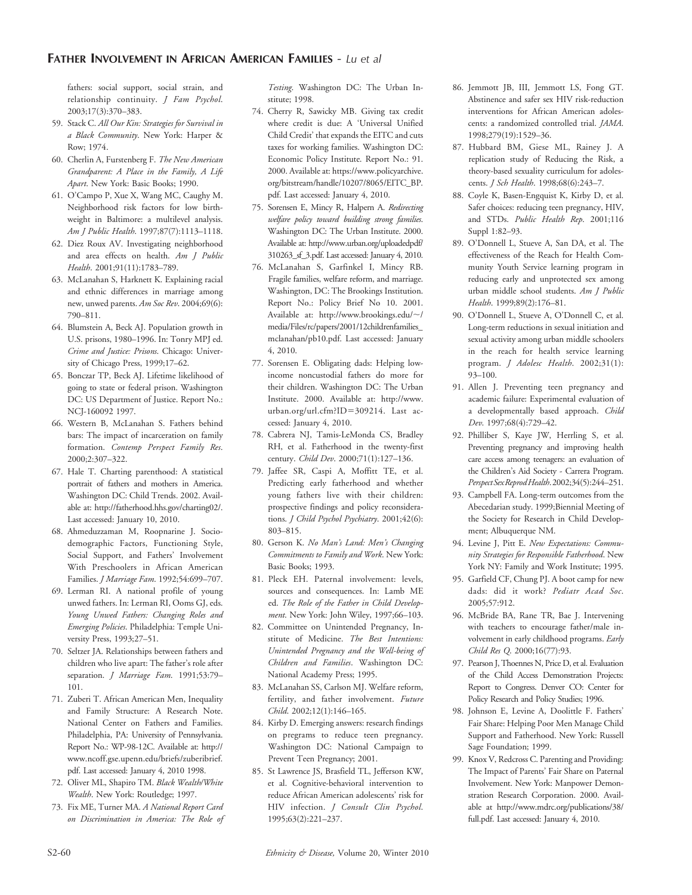#### FATHER INVOLVEMENT IN AFRICAN AMERICAN FAMILIES - Lu et al

fathers: social support, social strain, and relationship continuity. J Fam Psychol. 2003;17(3):370–383.

- 59. Stack C. All Our Kin: Strategies for Survival in a Black Community. New York: Harper & Row; 1974.
- 60. Cherlin A, Furstenberg F. The New American Grandparent: A Place in the Family, A Life Apart. New York: Basic Books; 1990.
- 61. O'Campo P, Xue X, Wang MC, Caughy M. Neighborhood risk factors for low birthweight in Baltimore: a multilevel analysis. Am J Public Health. 1997;87(7):1113–1118.
- 62. Diez Roux AV. Investigating neighborhood and area effects on health. Am J Public Health. 2001;91(11):1783–789.
- 63. McLanahan S, Harknett K. Explaining racial and ethnic differences in marriage among new, unwed parents. Am Soc Rev. 2004;69(6): 790–811.
- 64. Blumstein A, Beck AJ. Population growth in U.S. prisons, 1980–1996. In: Tonry MPJ ed. Crime and Justice: Prisons. Chicago: University of Chicago Press, 1999;17–62.
- 65. Bonczar TP, Beck AJ. Lifetime likelihood of going to state or federal prison. Washington DC: US Department of Justice. Report No.: NCJ-160092 1997.
- 66. Western B, McLanahan S. Fathers behind bars: The impact of incarceration on family formation. Contemp Perspect Family Res. 2000;2:307–322.
- 67. Hale T. Charting parenthood: A statistical portrait of fathers and mothers in America. Washington DC: Child Trends. 2002. Available at: http://fatherhood.hhs.gov/charting02/. Last accessed: January 10, 2010.
- 68. Ahmeduzzaman M, Roopnarine J. Sociodemographic Factors, Functioning Style, Social Support, and Fathers' Involvement With Preschoolers in African American Families. J Marriage Fam. 1992;54:699–707.
- 69. Lerman RI. A national profile of young unwed fathers. In: Lerman RI, Ooms GJ, eds. Young Unwed Fathers: Changing Roles and Emerging Policies. Philadelphia: Temple University Press, 1993;27–51.
- 70. Seltzer JA. Relationships between fathers and children who live apart: The father's role after separation. *J Marriage Fam.* 1991;53:79-101.
- 71. Zuberi T. African American Men, Inequality and Family Structure: A Research Note. National Center on Fathers and Families. Philadelphia, PA: University of Pennsylvania. Report No.: WP-98-12C. Available at: http:// www.ncoff.gse.upenn.edu/briefs/zuberibrief. pdf. Last accessed: January 4, 2010 1998.
- 72. Oliver ML, Shapiro TM. Black Wealth/White Wealth. New York: Routledge; 1997.
- 73. Fix ME, Turner MA. A National Report Card on Discrimination in America: The Role of

Testing. Washington DC: The Urban Institute; 1998.

- 74. Cherry R, Sawicky MB. Giving tax credit where credit is due: A 'Universal Unified Child Credit' that expands the EITC and cuts taxes for working families. Washington DC: Economic Policy Institute. Report No.: 91. 2000. Available at: https://www.policyarchive. org/bitstream/handle/10207/8065/EITC\_BP. pdf. Last accessed: January 4, 2010.
- 75. Sorensen E, Mincy R, Halpern A. Redirecting welfare policy toward building strong families. Washington DC: The Urban Institute. 2000. Available at: http://www.urban.org/uploadedpdf/ 310263\_sf\_3.pdf. Last accessed: January 4, 2010.
- 76. McLanahan S, Garfinkel I, Mincy RB. Fragile families, welfare reform, and marriage. Washington, DC: The Brookings Institution. Report No.: Policy Brief No 10. 2001. Available at: http://www.brookings.edu/~/ media/Files/rc/papers/2001/12childrenfamilies\_ mclanahan/pb10.pdf. Last accessed: January 4, 2010.
- 77. Sorensen E. Obligating dads: Helping lowincome noncustodial fathers do more for their children. Washington DC: The Urban Institute. 2000. Available at: http://www. urban.org/url.cfm?ID=309214. Last accessed: January 4, 2010.
- 78. Cabrera NJ, Tamis-LeMonda CS, Bradley RH, et al. Fatherhood in the twenty-first century. Child Dev. 2000;71(1):127–136.
- 79. Jaffee SR, Caspi A, Moffitt TE, et al. Predicting early fatherhood and whether young fathers live with their children: prospective findings and policy reconsiderations. J Child Psychol Psychiatry. 2001;42(6): 803–815.
- 80. Gerson K. No Man's Land: Men's Changing Commitments to Family and Work. New York: Basic Books; 1993.
- 81. Pleck EH. Paternal involvement: levels, sources and consequences. In: Lamb ME ed. The Role of the Father in Child Development. New York: John Wiley, 1997;66–103.
- 82. Committee on Unintended Pregnancy, Institute of Medicine. The Best Intentions: Unintended Pregnancy and the Well-being of Children and Families. Washington DC: National Academy Press; 1995.
- 83. McLanahan SS, Carlson MJ. Welfare reform, fertility, and father involvement. Future Child. 2002;12(1):146–165.
- 84. Kirby D. Emerging answers: research findings on pregrams to reduce teen pregnancy. Washington DC: National Campaign to Prevent Teen Pregnancy; 2001.
- 85. St Lawrence JS, Brasfield TL, Jefferson KW, et al. Cognitive-behavioral intervention to reduce African American adolescents' risk for HIV infection. J Consult Clin Psychol. 1995;63(2):221–237.
- 86. Jemmott JB, III, Jemmott LS, Fong GT. Abstinence and safer sex HIV risk-reduction interventions for African American adolescents: a randomized controlled trial. JAMA. 1998;279(19):1529–36.
- 87. Hubbard BM, Giese ML, Rainey J. A replication study of Reducing the Risk, a theory-based sexuality curriculum for adolescents. J Sch Health. 1998;68(6):243–7.
- 88. Coyle K, Basen-Engquist K, Kirby D, et al. Safer choices: reducing teen pregnancy, HIV, and STDs. Public Health Rep. 2001;116 Suppl 1:82–93.
- 89. O'Donnell L, Stueve A, San DA, et al. The effectiveness of the Reach for Health Community Youth Service learning program in reducing early and unprotected sex among urban middle school students. Am J Public Health. 1999;89(2):176–81.
- 90. O'Donnell L, Stueve A, O'Donnell C, et al. Long-term reductions in sexual initiation and sexual activity among urban middle schoolers in the reach for health service learning program. *J Adolesc Health*. 2002;31(1): 93–100.
- 91. Allen J. Preventing teen pregnancy and academic failure: Experimental evaluation of a developmentally based approach. Child Dev. 1997;68(4):729–42.
- 92. Philliber S, Kaye JW, Herrling S, et al. Preventing pregnancy and improving health care access among teenagers: an evaluation of the Children's Aid Society - Carrera Program. PerspectSexReprodHealth.2002;34(5):244–251.
- 93. Campbell FA. Long-term outcomes from the Abecedarian study. 1999;Biennial Meeting of the Society for Research in Child Development; Albuquerque NM.
- 94. Levine J, Pitt E. New Expectations: Community Strategies for Responsible Fatherhood. New York NY: Family and Work Institute; 1995.
- 95. Garfield CF, Chung PJ. A boot camp for new dads: did it work? Pediatr Acad Soc. 2005;57:912.
- 96. McBride BA, Rane TR, Bae J. Intervening with teachers to encourage father/male involvement in early childhood programs. Early Child Res Q. 2000;16(77):93.
- 97. Pearson J, Thoennes N, Price D, et al. Evaluation of the Child Access Demonstration Projects: Report to Congress. Denver CO: Center for Policy Research and Policy Studies; 1996.
- 98. Johnson E, Levine A, Doolittle F. Fathers' Fair Share: Helping Poor Men Manage Child Support and Fatherhood. New York: Russell Sage Foundation; 1999.
- 99. Knox V, Redcross C. Parenting and Providing: The Impact of Parents' Fair Share on Paternal Involvement. New York: Manpower Demonstration Research Corporation. 2000. Available at http://www.mdrc.org/publications/38/ full.pdf. Last accessed: January 4, 2010.